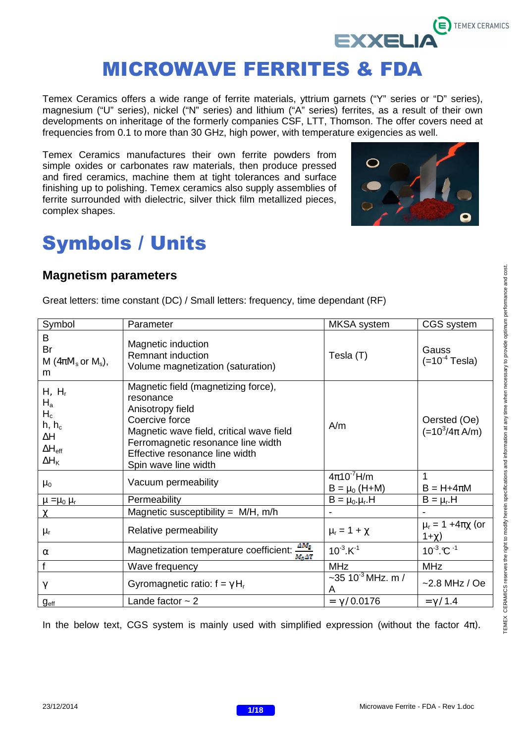

Temex Ceramics offers a wide range of ferrite materials, yttrium garnets ("Y" series or "D" series), magnesium ("U" series), nickel ("N" series) and lithium ("A" series) ferrites, as a result of their own developments on inheritage of the formerly companies CSF, LTT, Thomson. The offer covers need at frequencies from 0.1 to more than 30 GHz, high power, with temperature exigencies as well.

Temex Ceramics manufactures their own ferrite powders from simple oxides or carbonates raw materials, then produce pressed and fired ceramics, machine them at tight tolerances and surface finishing up to polishing. Temex ceramics also supply assemblies of ferrite surrounded with dielectric, silver thick film metallized pieces, complex shapes.



## Symbols / Units

## **Magnetism parameters**

Great letters: time constant (DC) / Small letters: frequency, time dependant (RF)

| Symbol                                                                                  | Parameter                                                                                                                                                                                                                          | <b>MKSA</b> system                     | CGS system                                  |
|-----------------------------------------------------------------------------------------|------------------------------------------------------------------------------------------------------------------------------------------------------------------------------------------------------------------------------------|----------------------------------------|---------------------------------------------|
| B<br>Br<br>M ( $4\pi M_s$ or $M_s$ ),<br>m                                              | Magnetic induction<br><b>Remnant induction</b><br>Volume magnetization (saturation)                                                                                                                                                | Tesla (T)                              | Gauss<br>$(=10^{-4}$ Tesla)                 |
| $H, H_r$<br>$H_a$<br>$H_c$<br>$h, h_c$<br>ΔΗ<br>$\Delta H_{\text{eff}}$<br>$\Delta H_K$ | Magnetic field (magnetizing force),<br>resonance<br>Anisotropy field<br>Coercive force<br>Magnetic wave field, critical wave field<br>Ferromagnetic resonance line width<br>Effective resonance line width<br>Spin wave line width | A/m                                    | Oersted (Oe)<br>$(=10^3/4\pi A/m)$          |
| $\mu_0$                                                                                 | Vacuum permeability                                                                                                                                                                                                                | $4\pi10^{-7}$ H/m<br>$B = \mu_0$ (H+M) | 1<br>$B = H + 4\pi M$                       |
| $\mu = \mu_0 \mu_r$                                                                     | Permeability                                                                                                                                                                                                                       | $B = \mu_0 \cdot \mu_r$ .H             | $B = \mu_r$ .H                              |
| $\chi$                                                                                  | Magnetic susceptibility = $M/H$ , m/h                                                                                                                                                                                              |                                        |                                             |
| $\mu_r$                                                                                 | Relative permeability                                                                                                                                                                                                              | $\mu_r = 1 + \chi$                     | $\mu_{r} = 1 + 4\pi \chi$ (or<br>$1+\chi$ ) |
| $\alpha$                                                                                | $AM_{\rm S}$<br>Magnetization temperature coefficient:<br>$M_{\odot} \Delta T$                                                                                                                                                     | $10^{-3}$ . K <sup>-1</sup>            | $10^{-3}$ C <sup>-1</sup>                   |
| f                                                                                       | Wave frequency                                                                                                                                                                                                                     | <b>MHz</b>                             | <b>MHz</b>                                  |
| $\gamma$                                                                                | Gyromagnetic ratio: $f = \gamma H_r$                                                                                                                                                                                               | ~35 10 $3$ MHz. m /<br>A               | $-2.8$ MHz / Oe                             |
| g <sub>eff</sub>                                                                        | Lande factor $\sim$ 2                                                                                                                                                                                                              | $= \gamma / 0.0176$                    | $= \gamma / 1.4$                            |

In the below text, CGS system is mainly used with simplified expression (without the factor  $4\pi$ ).

![](_page_0_Picture_12.jpeg)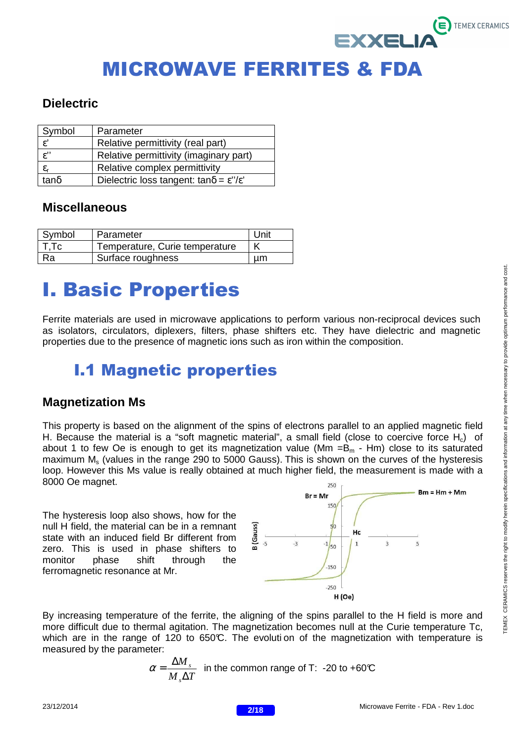## **Dielectric**

| Symbol                | Parameter                                                         |
|-----------------------|-------------------------------------------------------------------|
| $\epsilon'$           | Relative permittivity (real part)                                 |
| $\overline{\epsilon}$ | Relative permittivity (imaginary part)                            |
| $\varepsilon_{\rm r}$ | Relative complex permittivity                                     |
| $tan\delta$           | Dielectric loss tangent: $tan\delta = \varepsilon''/\varepsilon'$ |

## **Miscellaneous**

| Symbol | Parameter                      | Unit |
|--------|--------------------------------|------|
| T.Tc   | Temperature, Curie temperature |      |
| Ra.    | Surface roughness              | иm   |

# I. Basic Properties

Ferrite materials are used in microwave applications to perform various non-reciprocal devices such as isolators, circulators, diplexers, filters, phase shifters etc. They have dielectric and magnetic properties due to the presence of magnetic ions such as iron within the composition.

## I.1 Magnetic properties

## **Magnetization Ms**

This property is based on the alignment of the spins of electrons parallel to an applied magnetic field H. Because the material is a "soft magnetic material", a small field (close to coercive force  $H_c$ ) of about 1 to few Oe is enough to get its magnetization value ( $Mm = B<sub>m</sub>$  - Hm) close to its saturated maximum M<sub>s</sub> (values in the range 290 to 5000 Gauss). This is shown on the curves of the hysteresis loop. However this Ms value is really obtained at much higher field, the measurement is made with a 8000 Oe magnet. 250

The hysteresis loop also shows, how for the null H field, the material can be in a remnant state with an induced field Br different from zero. This is used in phase shifters to monitor phase shift through the ferromagnetic resonance at Mr.

![](_page_1_Figure_11.jpeg)

By increasing temperature of the ferrite, the aligning of the spins parallel to the H field is more and more difficult due to thermal agitation. The magnetization becomes null at the Curie temperature Tc, which are in the range of 120 to 650°C. The evoluti on of the magnetization with temperature is measured by the parameter:

$$
\alpha = \frac{\Delta M_s}{M_s \Delta T}
$$
 in the common range of T: -20 to +60°C

 $\mathbf{\Xi}$  TEMEX CERAMICS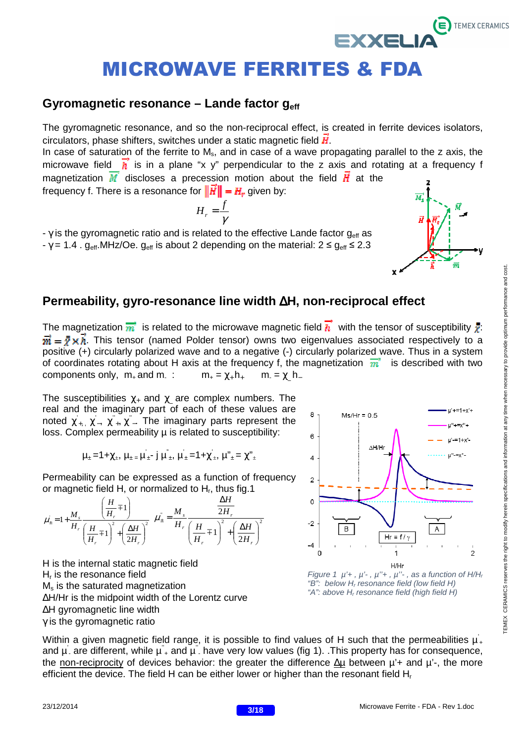### **Gyromagnetic resonance – Lande factor geff**

The gyromagnetic resonance, and so the non-reciprocal effect, is created in ferrite devices isolators, circulators, phase shifters, switches under a static magnetic field  $\vec{H}$ .

In case of saturation of the ferrite to  $M_s$ , and in case of a wave propagating parallel to the z axis, the microwave field  $\vec{h}$  is in a plane "x y" perpendicular to the z axis and rotating at a frequency f magnetization  $\vec{M}$  discloses a precession motion about the field  $\vec{H}$  at the

frequency f. There is a resonance for  $\|\vec{H}\| = H_r$  given by:

$$
H_r = \frac{f}{\gamma}
$$

-  $\gamma$  is the gyromagnetic ratio and is related to the effective Lande factor  $g_{\text{eff}}$  as -  $\gamma$  = 1.4 .  $g_{\text{eff}}$ . MHz/Oe.  $g_{\text{eff}}$  is about 2 depending on the material:  $2 \le g_{\text{eff}} \le 2.3$ 

![](_page_2_Figure_7.jpeg)

The magnetization  $\vec{m}$  is related to the microwave magnetic field  $\vec{h}$  with the tensor of susceptibility  $\vec{x}$ :  $\vec{m} = \vec{r} \times \vec{h}$ . This tensor (named Polder tensor) owns two eigenvalues associated respectively to a positive (+) circularly polarized wave and to a negative (-) circularly polarized wave. Thus in a system of coordinates rotating about H axis at the frequency f, the magnetization  $\overrightarrow{m}$  is described with two components only,  $m<sub>+</sub>$  and  $m<sub>-</sub>$ :  $m_{+} = \gamma_{+} h_{+}$  $m = \chi$  h

The susceptibilities  $\chi_+$  and  $\chi$  are complex numbers. The real and the imaginary part of each of these values are noted  $\chi^2_{+}, \chi^2_{-}, \chi^2_{+}, \chi^2_{-}$ . The imaginary parts represent the loss. Complex permeability  $\mu$  is related to susceptibility:

$$
\mu_{\pm} = 1 + \chi_{\pm}, \; \mu_{\pm} = \mu^{'}_{\pm} - j \; \mu^{''}_{\pm}, \; \mu^{'}_{\pm} = 1 + \chi^{'}_{\pm}, \; \mu^{''}_{\pm} = \chi^{''}_{\pm}
$$

Permeability can be expressed as a function of frequency or magnetic field H, or normalized to H<sub>r</sub>, thus fig.1

$$
\mu_{\pm} = 1 + \frac{M_s}{H_r} \frac{\left(\frac{H}{H_r} \pm 1\right)}{\left(\frac{H}{H_r} \pm 1\right)^2 + \left(\frac{\Delta H}{2H_r}\right)^2} \quad \mu_{\pm} = \frac{M_s}{H_r} \frac{\frac{\Delta H}{2H_r}}{\left(\frac{H}{H_r} \pm 1\right)^2 + \left(\frac{\Delta H}{2H_r}\right)^2}
$$

H is the internal static magnetic field H<sub>r</sub> is the resonance field M<sub>s</sub> is the saturated magnetization ∆H/Hr is the midpoint width of the Lorentz curve ∆H gyromagnetic line width γ is the gyromagnetic ratio

![](_page_2_Figure_14.jpeg)

**EXXELI** 

 $\overline{M}_e$ 

 $\vec{H}$ 

Figure 1  $\mu$ <sup>'</sup>+,  $\mu$ <sup>'</sup>-,  $\mu$ <sup>''</sup>+,  $\mu$ <sup>''</sup>-, as a function of H/H<sub>r</sub> " $B$ ": below  $H_r$  resonance field (low field H) "A": above H<sub>r</sub> resonance field (high field H)

Within a given magnetic field range, it is possible to find values of H such that the permeabilities  $\mu$ <sup>'</sup>+ and  $\mu$  are different, while  $\mu^2$  and  $\mu^2$  have very low values (fig 1). This property has for consequence, the non-reciprocity of devices behavior: the greater the difference ∆µ between µ'+ and µ'-, the more efficient the device. The field H can be either lower or higher than the resonant field H<sup>r</sup>

TEMEX CERAMICS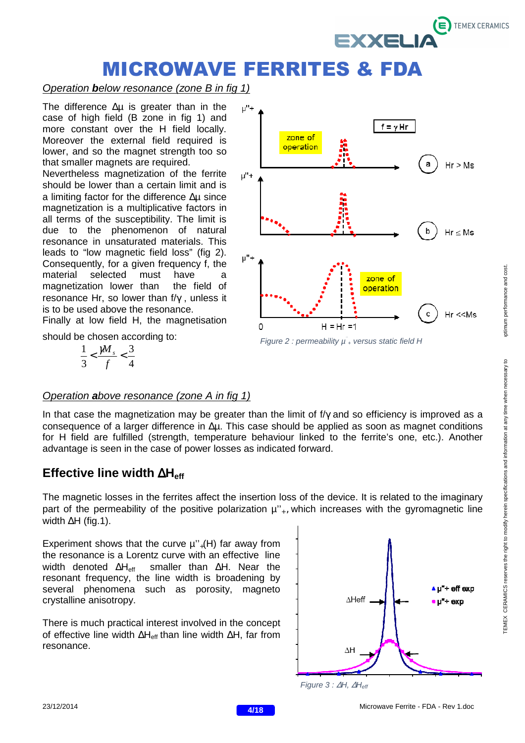![](_page_3_Picture_0.jpeg)

#### Operation **b**elow resonance (zone B in fig 1)

The difference ∆µ is greater than in the case of high field (B zone in fig 1) and more constant over the H field locally. Moreover the external field required is lower, and so the magnet strength too so that smaller magnets are required.

Nevertheless magnetization of the ferrite should be lower than a certain limit and is a limiting factor for the difference ∆µ since magnetization is a multiplicative factors in all terms of the susceptibility. The limit is due to the phenomenon of natural resonance in unsaturated materials. This leads to "low magnetic field loss" (fig 2). Consequently, for a given frequency f, the material selected must have a magnetization lower than the field of resonance Hr, so lower than f/γ , unless it is to be used above the resonance.

Finally at low field H, the magnetisation

should be chosen according to:

$$
\frac{1}{3} < \frac{\cancel{M}_s}{f} < \frac{3}{4}
$$

![](_page_3_Figure_7.jpeg)

Figure 2 : permeability  $\mu^{\degree}$  versus static field H

### Operation **a**bove resonance (zone A in fig 1)

In that case the magnetization may be greater than the limit of f/γ and so efficiency is improved as a consequence of a larger difference in ∆µ. This case should be applied as soon as magnet conditions for H field are fulfilled (strength, temperature behaviour linked to the ferrite's one, etc.). Another advantage is seen in the case of power losses as indicated forward.

## **Effective line width** ∆**Heff**

The magnetic losses in the ferrites affect the insertion loss of the device. It is related to the imaginary part of the permeability of the positive polarization  $\mu^{\prime\prime}$ , which increases with the gyromagnetic line width ∆H (fig.1).

Experiment shows that the curve  $\mu^{\prime\prime}$ <sub>+</sub>(H) far away from the resonance is a Lorentz curve with an effective line width denoted ∆H<sub>eff</sub> smaller than ∆H. Near the resonant frequency, the line width is broadening by several phenomena such as porosity, magneto crystalline anisotropy.

There is much practical interest involved in the concept of effective line width ∆H<sub>eff</sub> than line width ∆H, far from resonance.

![](_page_3_Figure_15.jpeg)

Figure 3 : ∆H, ∆H<sub>eff</sub>

![](_page_3_Picture_19.jpeg)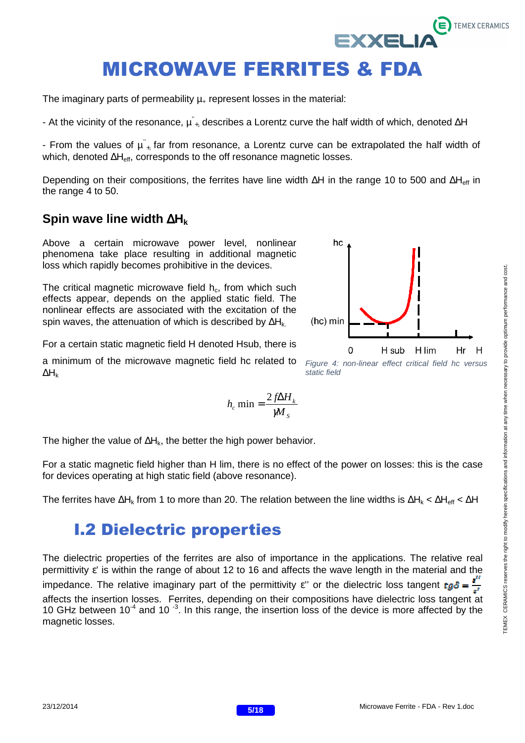The imaginary parts of permeability  $\mu$  represent losses in the material:

- At the vicinity of the resonance,  $\mu^{\nu}{}_{+}$ , describes a Lorentz curve the half width of which, denoted ∆H

- From the values of  $\mu^{\nu}_{+}$  far from resonance, a Lorentz curve can be extrapolated the half width of which, denoted ∆H<sub>eff</sub>, corresponds to the off resonance magnetic losses.

Depending on their compositions, the ferrites have line width ∆H in the range 10 to 500 and ∆H<sub>eff</sub> in the range 4 to 50.

#### **Spin wave line width** ∆**H<sup>k</sup>**

Above a certain microwave power level, nonlinear phenomena take place resulting in additional magnetic loss which rapidly becomes prohibitive in the devices.

The critical magnetic microwave field  $h_c$ , from which such effects appear, depends on the applied static field. The nonlinear effects are associated with the excitation of the spin waves, the attenuation of which is described by ∆H<sub>k</sub>

For a certain static magnetic field H denoted Hsub, there is

a minimum of the microwave magnetic field hc related to ∆H<sup>k</sup>

$$
h_c \min = \frac{2f\Delta H_k}{M_s}
$$

The higher the value of ∆H<sub>k</sub>, the better the high power behavior.

For a static magnetic field higher than H lim, there is no effect of the power on losses: this is the case for devices operating at high static field (above resonance).

The ferrites have  $\Delta H_k$  from 1 to more than 20. The relation between the line widths is  $\Delta H_k < \Delta H_{eff} < \Delta H$ 

## I.2 Dielectric properties

The dielectric properties of the ferrites are also of importance in the applications. The relative real permittivity  $\varepsilon$ ' is within the range of about 12 to 16 and affects the wave length in the material and the impedance. The relative imaginary part of the permittivity  $\varepsilon$ " or the dielectric loss tangent  $tg\delta = \frac{\varepsilon}{\varepsilon}$ affects the insertion losses. Ferrites, depending on their compositions have dielectric loss tangent at 10 GHz between  $10^{-4}$  and 10<sup>-3</sup>. In this range, the insertion loss of the device is more affected by the magnetic losses.

![](_page_4_Figure_16.jpeg)

**EXXELI** 

static field

**TEMEX CERAMICS**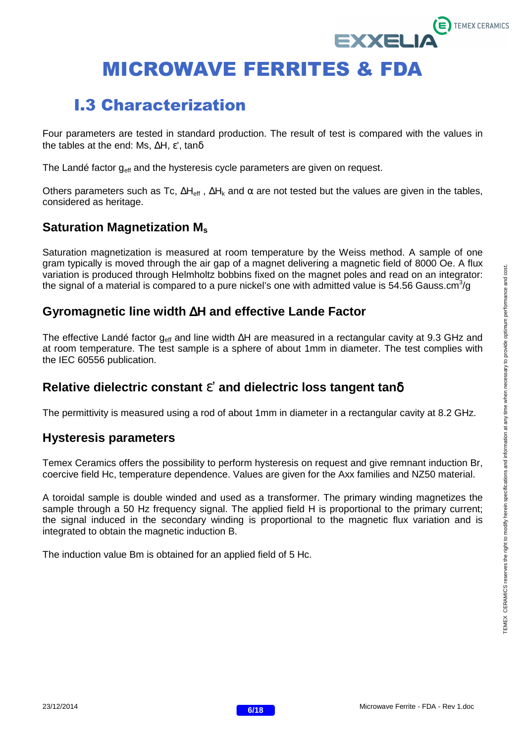## I.3 Characterization

Four parameters are tested in standard production. The result of test is compared with the values in the tables at the end: Ms, ∆H, ε', tanδ

The Landé factor  $g<sub>eff</sub>$  and the hysteresis cycle parameters are given on request.

Others parameters such as Tc,  $\Delta H_{\text{eff}}$ ,  $\Delta H_{\text{k}}$  and  $\alpha$  are not tested but the values are given in the tables, considered as heritage.

## **Saturation Magnetization M<sup>s</sup>**

Saturation magnetization is measured at room temperature by the Weiss method. A sample of one gram typically is moved through the air gap of a magnet delivering a magnetic field of 8000 Oe. A flux variation is produced through Helmholtz bobbins fixed on the magnet poles and read on an integrator: the signal of a material is compared to a pure nickel's one with admitted value is 54.56 Gauss.cm<sup>3</sup>/g

## **Gyromagnetic line width** ∆**H and effective Lande Factor**

The effective Landé factor g<sub>eff</sub> and line width ∆H are measured in a rectangular cavity at 9.3 GHz and at room temperature. The test sample is a sphere of about 1mm in diameter. The test complies with the IEC 60556 publication.

## **Relative dielectric constant** ε' **and dielectric loss tangent tan**δ

The permittivity is measured using a rod of about 1mm in diameter in a rectangular cavity at 8.2 GHz.

## **Hysteresis parameters**

Temex Ceramics offers the possibility to perform hysteresis on request and give remnant induction Br, coercive field Hc, temperature dependence. Values are given for the Axx families and NZ50 material.

A toroidal sample is double winded and used as a transformer. The primary winding magnetizes the sample through a 50 Hz frequency signal. The applied field H is proportional to the primary current; the signal induced in the secondary winding is proportional to the magnetic flux variation and is integrated to obtain the magnetic induction B.

The induction value Bm is obtained for an applied field of 5 Hc.

**TEMEX CERAMICS** 

**EXXELI** 

![](_page_5_Picture_17.jpeg)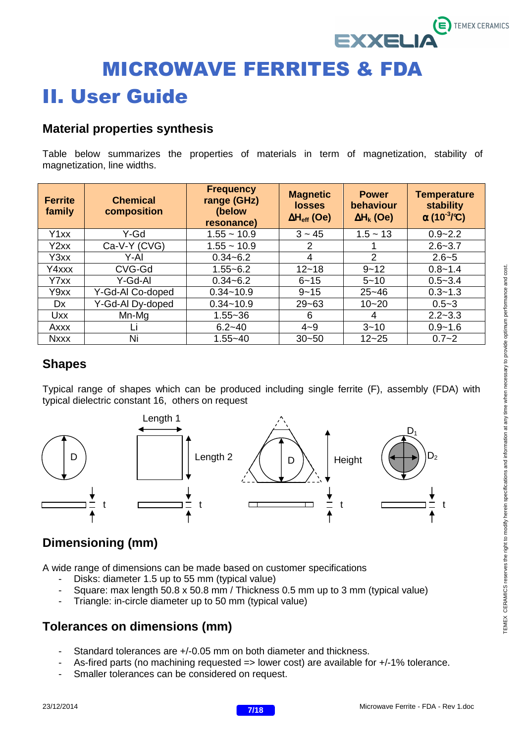# MICROWAVE FERRITES & FDA II. User Guide

## **Material properties synthesis**

Table below summarizes the properties of materials in term of magnetization, stability of magnetization, line widths.

| <b>Ferrite</b><br>family | <b>Chemical</b><br>composition | <b>Frequency</b><br>range (GHz)<br>(below<br>resonance) | <b>Magnetic</b><br><b>losses</b><br>$\Delta H_{\rm eff}$ (Oe) | <b>Power</b><br>behaviour<br>$\Delta H_k$ (Oe) | <b>Temperature</b><br>stability<br>$\alpha$ (10 <sup>-3</sup> /°C) |
|--------------------------|--------------------------------|---------------------------------------------------------|---------------------------------------------------------------|------------------------------------------------|--------------------------------------------------------------------|
| Y1xx                     | Y-Gd                           | $1.55 - 10.9$                                           | $3 - 45$                                                      | $1.5 - 13$                                     | $0.9 - 2.2$                                                        |
| Y2xx                     | Ca-V-Y (CVG)                   | $1.55 - 10.9$                                           | 2                                                             |                                                | $2.6 - 3.7$                                                        |
| Y3xx                     | Y-AI                           | $0.34 - 6.2$                                            | 4                                                             | $\overline{2}$                                 | $2.6 - 5$                                                          |
| Y4xxx                    | CVG-Gd                         | $1.55 - 6.2$                                            | $12 - 18$                                                     | $9 - 12$                                       | $0.8 - 1.4$                                                        |
| Y7xx                     | Y-Gd-Al                        | $0.34 - 6.2$                                            | $6 - 15$                                                      | $5 - 10$                                       | $0.5 - 3.4$                                                        |
| Y9xx                     | Y-Gd-Al Co-doped               | $0.34 - 10.9$                                           | $9 - 15$                                                      | $25 - 46$                                      | $0.3 - 1.3$                                                        |
| Dx                       | Y-Gd-Al Dy-doped               | $0.34 - 10.9$                                           | $29 - 63$                                                     | $10 - 20$                                      | $0.5 - 3$                                                          |
| <b>Uxx</b>               | Mn-Mg                          | $1.55 - 36$                                             | 6                                                             | 4                                              | $2.2 - 3.3$                                                        |
| Axxx                     | Lı                             | $6.2 - 40$                                              | $4 - 9$                                                       | $3 - 10$                                       | $0.9 - 1.6$                                                        |
| <b>Nxxx</b>              | Ni                             | $1.55 - 40$                                             | $30 - 50$                                                     | $12 - 25$                                      | $0.7 - 2$                                                          |

## **Shapes**

Typical range of shapes which can be produced including single ferrite (F), assembly (FDA) with typical dielectric constant 16, others on request

![](_page_6_Figure_6.jpeg)

## **Dimensioning (mm)**

A wide range of dimensions can be made based on customer specifications

- Disks: diameter 1.5 up to 55 mm (typical value)
- Square: max length 50.8 x 50.8 mm / Thickness 0.5 mm up to 3 mm (typical value)
- Triangle: in-circle diameter up to 50 mm (typical value)

## **Tolerances on dimensions (mm)**

- Standard tolerances are +/-0.05 mm on both diameter and thickness.
- As-fired parts (no machining requested => lower cost) are available for +/-1% tolerance.
- Smaller tolerances can be considered on request.

**TEMEX CERAMICS** 

XEL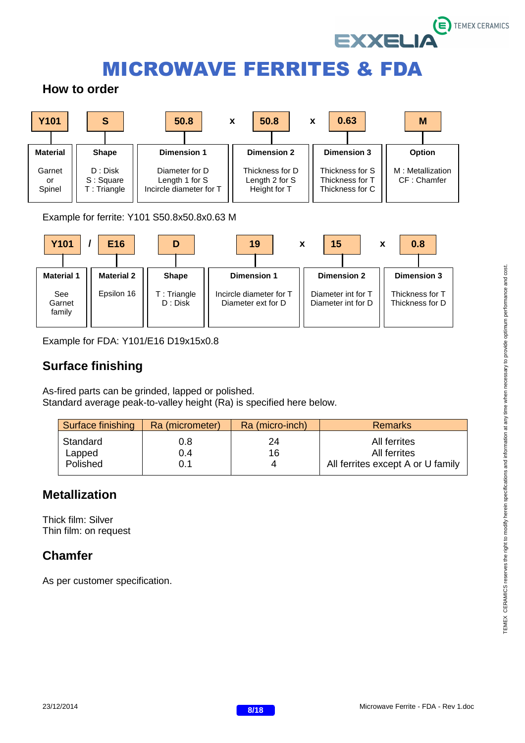![](_page_7_Picture_0.jpeg)

## **How to order**

![](_page_7_Figure_3.jpeg)

Example for ferrite: Y101 S50.8x50.8x0.63 M

![](_page_7_Figure_5.jpeg)

Example for FDA: Y101/E16 D19x15x0.8

## **Surface finishing**

As-fired parts can be grinded, lapped or polished. Standard average peak-to-valley height (Ra) is specified here below.

| Surface finishing              | Ra (micrometer)   | Ra (micro-inch) | <b>Remarks</b>                                                    |
|--------------------------------|-------------------|-----------------|-------------------------------------------------------------------|
| Standard<br>Lapped<br>Polished | 0.8<br>0.4<br>0.1 | 24<br>16        | All ferrites<br>All ferrites<br>All ferrites except A or U family |

## **Metallization**

Thick film: Silver Thin film: on request

## **Chamfer**

As per customer specification.

![](_page_7_Picture_16.jpeg)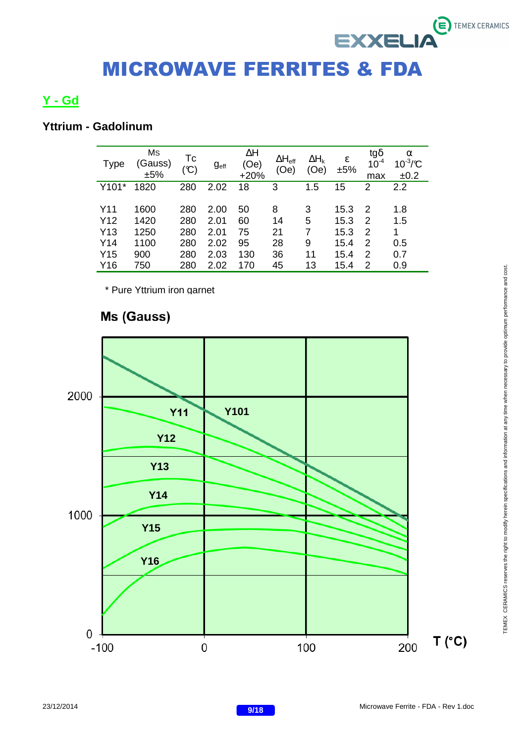## **Y - Gd**

## **Yttrium - Gadolinum**

| <b>Type</b>     | Ms<br>(Gauss)<br>±5% | Tc<br>$(\mathfrak{C})$ | g <sub>eff</sub> | $\Delta H$<br>(0e)<br>$+20%$ | $\Delta H_{\text{eff}}$<br>(Oe) | $\Delta H_k$<br>(Oe) | ε<br>±5% | tgδ<br>$10^{-4}$<br>max | α<br>$10^{-3}/C$<br>±0.2 |
|-----------------|----------------------|------------------------|------------------|------------------------------|---------------------------------|----------------------|----------|-------------------------|--------------------------|
| Y101*           | 1820                 | 280                    | 2.02             | 18                           | 3                               | 1.5                  | 15       | 2                       | 2.2                      |
|                 |                      |                        |                  |                              |                                 |                      |          |                         |                          |
| Y11             | 1600                 | 280                    | 2.00             | 50                           | 8                               | 3                    | 15.3     | 2                       | 1.8                      |
| Y <sub>12</sub> | 1420                 | 280                    | 2.01             | 60                           | 14                              | 5                    | 15.3     | 2                       | 1.5                      |
| Y <sub>13</sub> | 1250                 | 280                    | 2.01             | 75                           | 21                              | 7                    | 15.3     | 2                       | 1                        |
| Y14             | 1100                 | 280                    | 2.02             | 95                           | 28                              | 9                    | 15.4     | 2                       | 0.5                      |
| Y <sub>15</sub> | 900                  | 280                    | 2.03             | 130                          | 36                              | 11                   | 15.4     | 2                       | 0.7                      |
| Y16             | 750                  | 280                    | 2.02             | 170                          | 45                              | 13                   | 15.4     | 2                       | 0.9                      |

\* Pure Yttrium iron garnet

## Ms (Gauss)

![](_page_8_Figure_6.jpeg)

 $\ddot{\boldsymbol{\epsilon}}$  TEMEX CERAMICS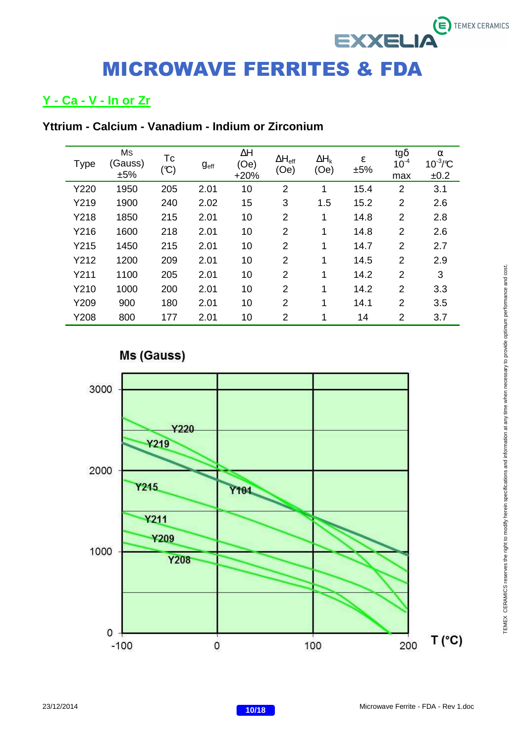## **Y - Ca - V - In or Zr**

| <b>Type</b> | Ms<br>(Gauss)<br>±5% | Tc<br>(C) | g <sub>eff</sub> | $\Delta H$<br>(Oe)<br>$+20%$ | $\Delta H_{\text{eff}}$<br>(Oe) | $\Delta H_k$<br>(Oe) | $\boldsymbol{\epsilon}$<br>±5% | $tg\delta$<br>$10^{-4}$<br>max | $\alpha$<br>$10^{-3}/C$<br>±0.2 |
|-------------|----------------------|-----------|------------------|------------------------------|---------------------------------|----------------------|--------------------------------|--------------------------------|---------------------------------|
| Y220        | 1950                 | 205       | 2.01             | 10                           | $\overline{2}$                  | 1                    | 15.4                           | $\overline{2}$                 | 3.1                             |
| Y219        | 1900                 | 240       | 2.02             | 15                           | 3                               | 1.5                  | 15.2                           | $\overline{2}$                 | 2.6                             |
| Y218        | 1850                 | 215       | 2.01             | 10                           | $\overline{2}$                  | 1                    | 14.8                           | $\overline{2}$                 | 2.8                             |
| Y216        | 1600                 | 218       | 2.01             | 10                           | $\overline{2}$                  | 1                    | 14.8                           | $\overline{2}$                 | 2.6                             |
| Y215        | 1450                 | 215       | 2.01             | 10                           | $\overline{2}$                  | 1                    | 14.7                           | $\overline{2}$                 | 2.7                             |
| Y212        | 1200                 | 209       | 2.01             | 10                           | $\overline{2}$                  | 1                    | 14.5                           | $\overline{2}$                 | 2.9                             |
| Y211        | 1100                 | 205       | 2.01             | 10                           | $\overline{2}$                  | 1                    | 14.2                           | $\overline{2}$                 | 3                               |
| Y210        | 1000                 | 200       | 2.01             | 10                           | $\overline{2}$                  | 1                    | 14.2                           | $\overline{2}$                 | 3.3                             |
| Y209        | 900                  | 180       | 2.01             | 10                           | $\overline{2}$                  | 1                    | 14.1                           | $\overline{2}$                 | 3.5                             |
| Y208        | 800                  | 177       | 2.01             | 10                           | $\overline{2}$                  | 1                    | 14                             | $\overline{2}$                 | 3.7                             |

Ms (Gauss)

![](_page_9_Figure_5.jpeg)

 $\ddot{\boldsymbol{\epsilon}}$  TEMEX CERAMICS

**EXXELIA**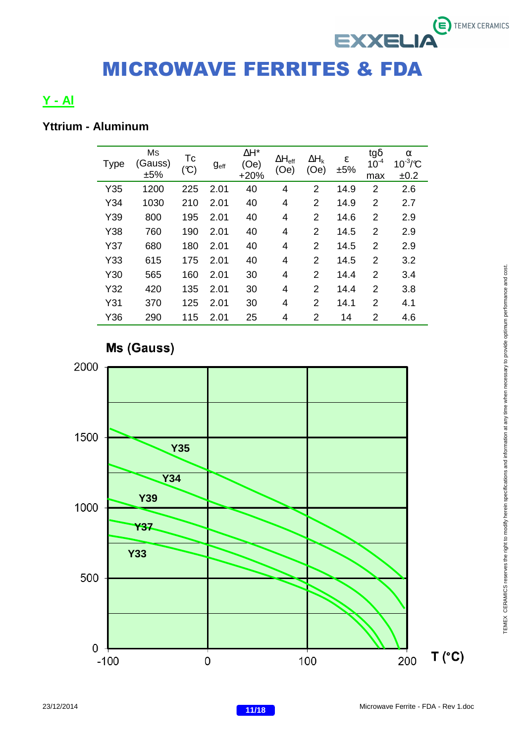## **Y - Al**

## **Yttrium - Aluminum**

| <b>Type</b> | Ms<br>(Gauss)<br>±5% | Tc<br>$(\mathfrak{C})$ | g <sub>eff</sub> | ΔH*<br>(Oe)<br>$+20%$ | $\Delta H_{\text{eff}}$<br>(Oe) | $\Delta H_k$<br>(Oe) | ε<br>±5% | tg $\delta$<br>$10^{-4}$<br>max | α<br>$10^{-3}/C$<br>±0.2 |
|-------------|----------------------|------------------------|------------------|-----------------------|---------------------------------|----------------------|----------|---------------------------------|--------------------------|
| Y35         | 1200                 | 225                    | 2.01             | 40                    | 4                               | $\overline{2}$       | 14.9     | $\overline{2}$                  | 2.6                      |
| Y34         | 1030                 | 210                    | 2.01             | 40                    | 4                               | 2                    | 14.9     | 2                               | 2.7                      |
| Y39         | 800                  | 195                    | 2.01             | 40                    | 4                               | $\overline{2}$       | 14.6     | 2                               | 2.9                      |
| Y38         | 760                  | 190                    | 2.01             | 40                    | 4                               | 2                    | 14.5     | 2                               | 2.9                      |
| Y37         | 680                  | 180                    | 2.01             | 40                    | 4                               | 2                    | 14.5     | 2                               | 2.9                      |
| Y33         | 615                  | 175                    | 2.01             | 40                    | 4                               | $\overline{2}$       | 14.5     | $\overline{2}$                  | 3.2                      |
| Y30         | 565                  | 160                    | 2.01             | 30                    | 4                               | 2                    | 14.4     | $\overline{2}$                  | 3.4                      |
| Y32         | 420                  | 135                    | 2.01             | 30                    | 4                               | $\overline{2}$       | 14.4     | 2                               | 3.8                      |
| Y31         | 370                  | 125                    | 2.01             | 30                    | 4                               | 2                    | 14.1     | 2                               | 4.1                      |
| Y36         | 290                  | 115                    | 2.01             | 25                    | 4                               | $\overline{2}$       | 14       | 2                               | 4.6                      |

## **Ms (Gauss)**

![](_page_10_Figure_5.jpeg)

 $\ddot{\mathbf{e}}$  TEMEX CERAMICS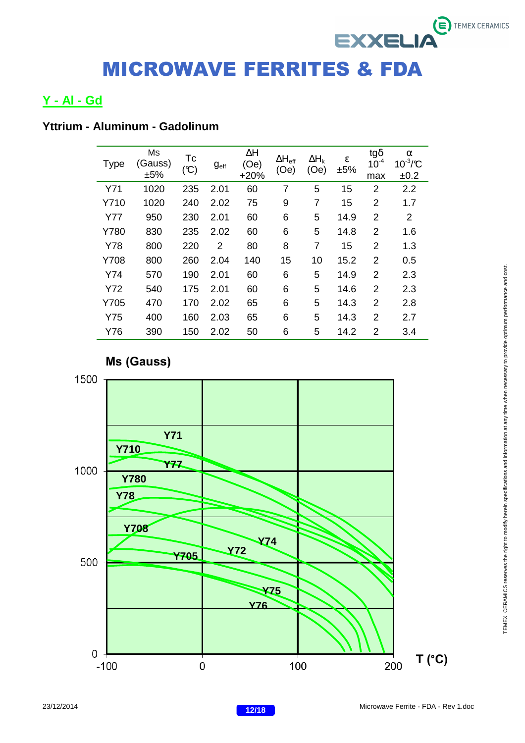## **Y - Al - Gd**

## **Yttrium - Aluminum - Gadolinum**

| <b>Type</b> | Ms<br>(Gauss)<br>±5% | Tc<br>$(\mathfrak{C})$ | g <sub>eff</sub> | $\Delta H$<br>(Oe)<br>$+20%$ | $\Delta H_{\text{eff}}$<br>(Oe) | $\Delta H_k$<br>(Oe) | $\boldsymbol{\epsilon}$<br>±5% | $tg\delta$<br>$10^{-4}$<br>max | α<br>$10^{-3}/C$<br>±0.2 |
|-------------|----------------------|------------------------|------------------|------------------------------|---------------------------------|----------------------|--------------------------------|--------------------------------|--------------------------|
| Y71         | 1020                 | 235                    | 2.01             | 60                           | $\overline{7}$                  | 5                    | 15                             | $\overline{2}$                 | 2.2                      |
| Y710        | 1020                 | 240                    | 2.02             | 75                           | 9                               | $\overline{7}$       | 15                             | $\overline{2}$                 | 1.7                      |
| <b>Y77</b>  | 950                  | 230                    | 2.01             | 60                           | 6                               | 5                    | 14.9                           | $\overline{2}$                 | 2                        |
| Y780        | 830                  | 235                    | 2.02             | 60                           | 6                               | 5                    | 14.8                           | 2                              | 1.6                      |
| Y78         | 800                  | 220                    | 2                | 80                           | 8                               | $\overline{7}$       | 15                             | $\overline{2}$                 | 1.3                      |
| Y708        | 800                  | 260                    | 2.04             | 140                          | 15                              | 10                   | 15.2                           | 2                              | 0.5                      |
| Y74         | 570                  | 190                    | 2.01             | 60                           | 6                               | 5                    | 14.9                           | 2                              | 2.3                      |
| Y72         | 540                  | 175                    | 2.01             | 60                           | 6                               | 5                    | 14.6                           | $\overline{2}$                 | 2.3                      |
| Y705        | 470                  | 170                    | 2.02             | 65                           | 6                               | 5                    | 14.3                           | $\overline{2}$                 | 2.8                      |
| <b>Y75</b>  | 400                  | 160                    | 2.03             | 65                           | 6                               | 5                    | 14.3                           | $\overline{2}$                 | 2.7                      |
| Y76         | 390                  | 150                    | 2.02             | 50                           | 6                               | 5                    | 14.2                           | $\overline{2}$                 | 3.4                      |

![](_page_11_Figure_4.jpeg)

![](_page_11_Figure_5.jpeg)

 $\ddot{\boldsymbol{\epsilon}}$  TEMEX CERAMICS

![](_page_11_Picture_8.jpeg)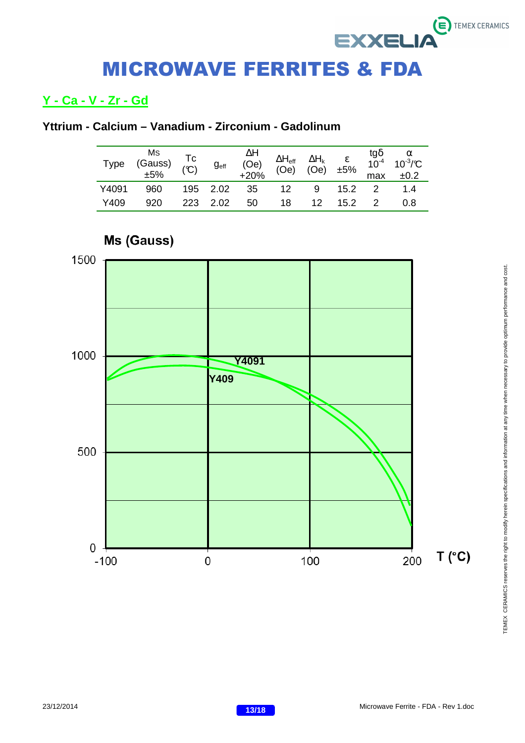## **Y - Ca - V - Zr - Gd**

## **Yttrium - Calcium – Vanadium - Zirconium - Gadolinum**

| <b>Type</b> | Ms<br>(Gauss)<br>$\pm 5\%$ | Tc<br>(C) | g <sub>eff</sub> | ∆H<br>(Oe)<br>$+20%$ |    |                 |             | max | $\Delta H_{\text{eff}}$ $\Delta H_{\text{k}}$ $\varepsilon$ $\tfrac{\text{tg}\delta}{10^{-4}}$ $\tfrac{\alpha}{10^{-3}/\text{C}}$<br>(Oe) (Oe) $\pm 5\%$ $\tfrac{\text{tg}\delta}{\text{m}\Omega}$ $\therefore \Omega$<br>±0.2 |
|-------------|----------------------------|-----------|------------------|----------------------|----|-----------------|-------------|-----|--------------------------------------------------------------------------------------------------------------------------------------------------------------------------------------------------------------------------------|
| Y4091       | 960                        |           | 195 2.02         | 35                   | 12 | 9               | $15.2 \t 2$ |     | 1.4                                                                                                                                                                                                                            |
| Y409        | 920                        |           | 223 2.02         | 50                   | 18 | 12 <sup>°</sup> | 15.2        |     | 0.8                                                                                                                                                                                                                            |

![](_page_12_Figure_4.jpeg)

# TEMEX CERAMICS reserves the right to modify herein specifications and information at any time when necessary to provide optimum performance and cost. TEMEX CERAMICS reserves the right to modify herein specifications and information at any time when necessary to provide optimum performance and cost.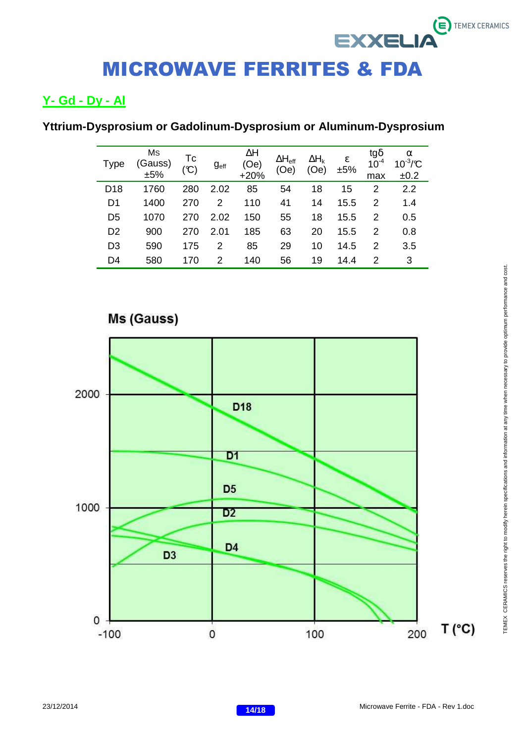## **Y- Gd - Dy - Al**

## **Yttrium-Dysprosium or Gadolinum-Dysprosium or Aluminum-Dysprosium**

| <b>Type</b>     | Ms<br>(Gauss)<br>±5% | Tc<br>(C) | g <sub>eff</sub> | ΔΗ<br>(Oe)<br>$+20%$ | $\Delta H_{\text{eff}}$<br>(Oe) | $\Delta H_k$<br>Oe) | ε<br>±5% | tg $\delta$<br>$10^{-4}$<br>max | α<br>$10^{-3}/C$<br>±0.2 |
|-----------------|----------------------|-----------|------------------|----------------------|---------------------------------|---------------------|----------|---------------------------------|--------------------------|
| D <sub>18</sub> | 1760                 | 280       | 2.02             | 85                   | 54                              | 18                  | 15       | 2                               | 2.2                      |
| D1              | 1400                 | 270       | 2                | 110                  | 41                              | 14                  | 15.5     | 2                               | 1.4                      |
| D <sub>5</sub>  | 1070                 | 270       | 2.02             | 150                  | 55                              | 18                  | 15.5     | 2                               | 0.5                      |
| D <sub>2</sub>  | 900                  | 270       | 2.01             | 185                  | 63                              | 20                  | 15.5     | 2                               | 0.8                      |
| D <sub>3</sub>  | 590                  | 175       | 2                | 85                   | 29                              | 10                  | 14.5     | 2                               | 3.5                      |
| D4              | 580                  | 170       | $\mathcal{P}$    | 140                  | 56                              | 19                  | 14.4     | 2                               | 3                        |

![](_page_13_Figure_4.jpeg)

## Ms (Gauss)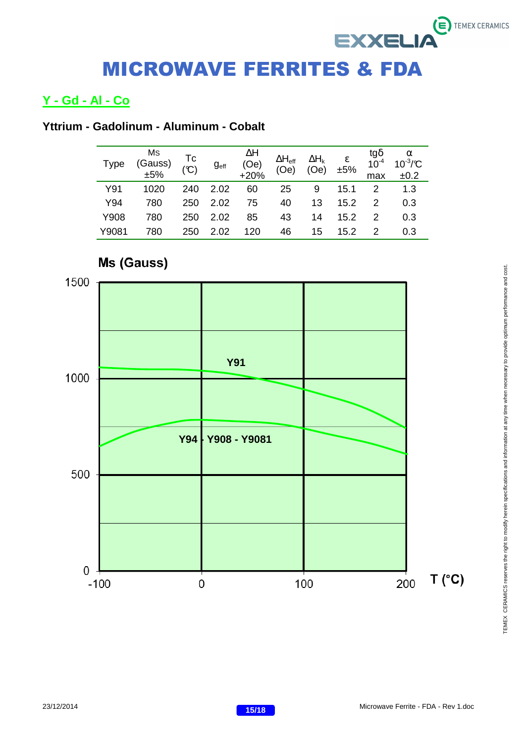## **Y - Gd - Al - Co**

## **Yttrium - Gadolinum - Aluminum - Cobalt**

| Type  | Ms<br>(Gauss)<br>±5% | $TC$<br>$(C)$ | g <sub>eff</sub> | ΔΗ<br>(Oe)<br>$+20%$ | $\Delta H_{\text{eff}}$<br>(Oe) | $\Delta H_k$<br>(Oe) | $rac{\varepsilon}{\pm 5\%}$ | tgδ<br>10 <sup>-4</sup><br>max | $\alpha$<br>$10^{-3}/C$<br>±0.2 |
|-------|----------------------|---------------|------------------|----------------------|---------------------------------|----------------------|-----------------------------|--------------------------------|---------------------------------|
| Y91   | 1020                 | 240           | 2.02             | 60                   | 25                              | 9                    | 15.1                        | 2                              | 1.3                             |
| Y94   | 780                  | 250           | 2.02             | 75                   | 40                              | 13                   | 15.2                        | 2                              | 0.3                             |
| Y908  | 780                  | 250           | 2.02             | 85                   | 43                              | 14                   | 15.2                        | $\mathcal{P}$                  | 0.3                             |
| Y9081 | 780                  | 250           | 2.02             | 120                  | 46                              | 15                   | 15.2                        |                                | 0.3                             |

![](_page_14_Figure_4.jpeg)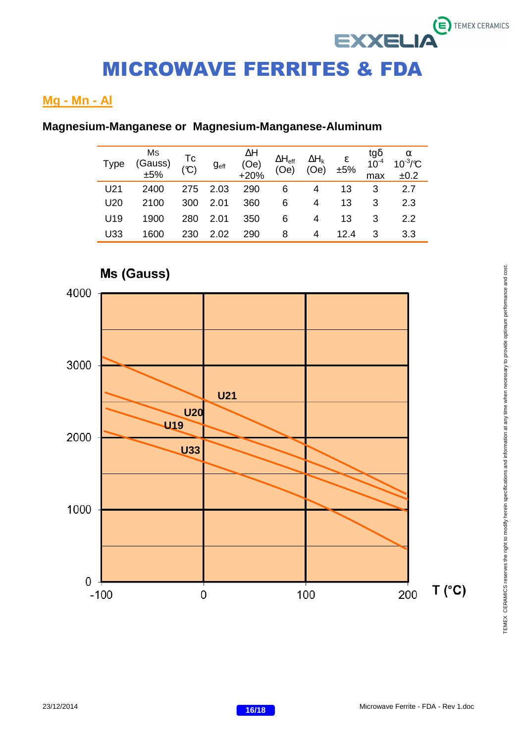## **Mg - Mn - Al**

## **Magnesium-Manganese or Magnesium-Manganese-Aluminum**

| <b>Type</b> | Ms<br>(Gauss)<br>±5% | Tc<br>(C) | g <sub>eff</sub> | $\Delta H$ (Oe)<br>$+20%$ | $\Delta H_{\text{eff}}$<br>(Oe) | $\frac{\Delta H_{\rm k}}{\rm (Oe)}$ | $rac{\varepsilon}{\pm 5\%}$ | tg $\delta$<br>10 <sup>-4</sup><br>max | $\alpha$<br>10 <sup>-3</sup> /°C<br>±0.2 |
|-------------|----------------------|-----------|------------------|---------------------------|---------------------------------|-------------------------------------|-----------------------------|----------------------------------------|------------------------------------------|
| U21         | 2400                 | 275       | 2.03             | 290                       | 6                               | 4                                   | 13                          | 3                                      | 2.7                                      |
| U20         | 2100                 | 300       | 2.01             | 360                       | 6                               | 4                                   | 13                          | 3                                      | 2.3                                      |
| U19         | 1900                 | 280       | 2.01             | 350                       | 6                               | 4                                   | 13                          | 3                                      | 2.2                                      |
| U33         | 1600                 | 230       | 2.02             | 290                       | 8                               | 4                                   | 12.4                        | 3                                      | 3.3                                      |

![](_page_15_Figure_4.jpeg)

# TEMEX CERAMICS reserves the right to modify herein specifications and information at any time when necessary to provide optimum performance and cost. TEMEX CERAMICS reserves the right to modify herein specifications and information at any time when necessary to provide optimum performance and cost.

 $\ddot{\boldsymbol{\epsilon}}$  TEMEX CERAMICS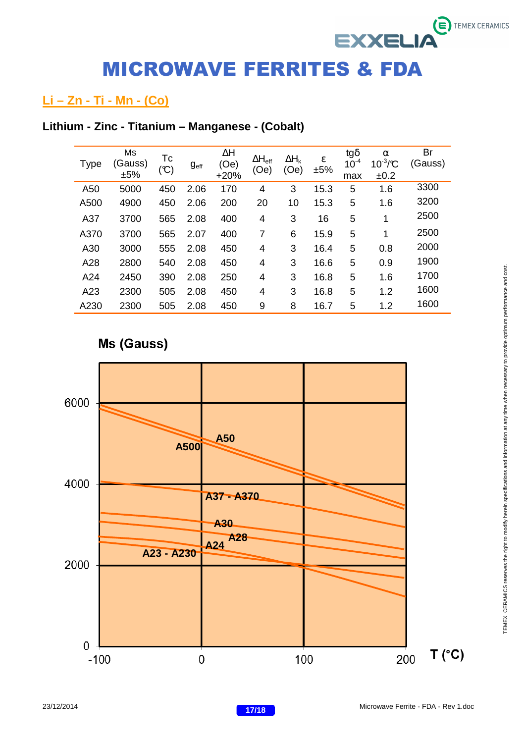## **Li – Zn - Ti - Mn - (Co)**

## **Lithium - Zinc - Titanium – Manganese - (Cobalt)**

| Type | Ms<br>Gauss)<br>±5% | Tc<br>$(\mathfrak{C})$ | g <sub>eff</sub> | $\Delta H$<br>(Oe)<br>$+20%$ | $\Delta H_{\text{eff}}$<br>(Oe) | $\Delta H_k$<br>(Oe) | ε<br>±5% | tg $\delta$<br>$10^{-4}$<br>max | $\alpha$<br>$10^{-3}/C$<br>±0.2 | Br<br>(Gauss) |
|------|---------------------|------------------------|------------------|------------------------------|---------------------------------|----------------------|----------|---------------------------------|---------------------------------|---------------|
| A50  | 5000                | 450                    | 2.06             | 170                          | 4                               | 3                    | 15.3     | 5                               | 1.6                             | 3300          |
| A500 | 4900                | 450                    | 2.06             | 200                          | 20                              | 10                   | 15.3     | 5                               | 1.6                             | 3200          |
| A37  | 3700                | 565                    | 2.08             | 400                          | 4                               | 3                    | 16       | 5                               | 1                               | 2500          |
| A370 | 3700                | 565                    | 2.07             | 400                          | 7                               | 6                    | 15.9     | 5                               | 1                               | 2500          |
| A30  | 3000                | 555                    | 2.08             | 450                          | 4                               | 3                    | 16.4     | 5                               | 0.8                             | 2000          |
| A28  | 2800                | 540                    | 2.08             | 450                          | 4                               | 3                    | 16.6     | 5                               | 0.9                             | 1900          |
| A24  | 2450                | 390                    | 2.08             | 250                          | 4                               | 3                    | 16.8     | 5                               | 1.6                             | 1700          |
| A23  | 2300                | 505                    | 2.08             | 450                          | 4                               | 3                    | 16.8     | 5                               | 1.2                             | 1600          |
| A230 | 2300                | 505                    | 2.08             | 450                          | 9                               | 8                    | 16.7     | 5                               | 1.2                             | 1600          |

## Ms (Gauss)

![](_page_16_Figure_5.jpeg)

 $\epsilon$  TEMEX CERAMICS

**EXXELIA**